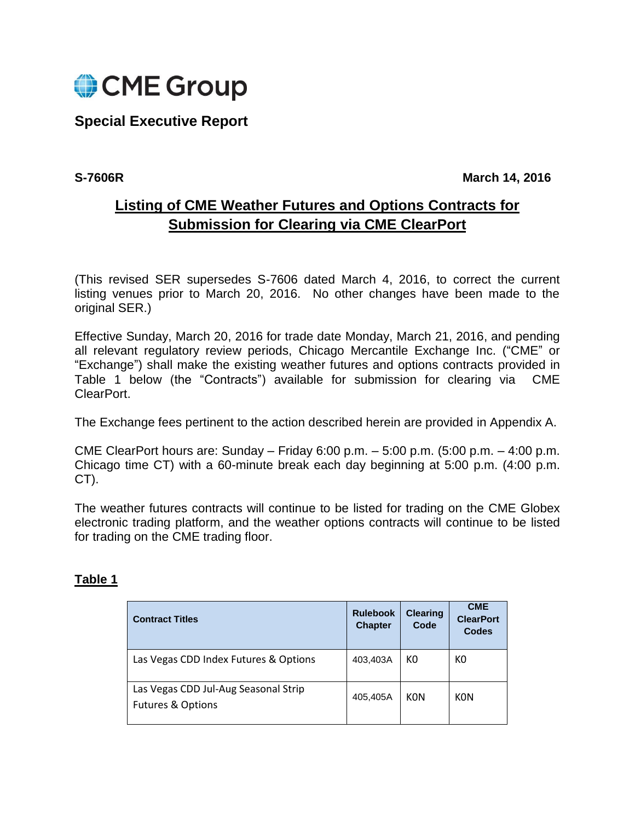

# **Special Executive Report**

**S-7606R** March 14, 2016

# **Listing of CME Weather Futures and Options Contracts for Submission for Clearing via CME ClearPort**

(This revised SER supersedes S-7606 dated March 4, 2016, to correct the current listing venues prior to March 20, 2016. No other changes have been made to the original SER.)

Effective Sunday, March 20, 2016 for trade date Monday, March 21, 2016, and pending all relevant regulatory review periods, Chicago Mercantile Exchange Inc. ("CME" or "Exchange") shall make the existing weather futures and options contracts provided in Table 1 below (the "Contracts") available for submission for clearing via CME ClearPort.

The Exchange fees pertinent to the action described herein are provided in Appendix A.

CME ClearPort hours are: Sunday – Friday 6:00 p.m. – 5:00 p.m. (5:00 p.m. – 4:00 p.m. Chicago time CT) with a 60-minute break each day beginning at 5:00 p.m. (4:00 p.m. CT).

The weather futures contracts will continue to be listed for trading on the CME Globex electronic trading platform, and the weather options contracts will continue to be listed for trading on the CME trading floor.

### **Contract Titles Rulebook Rulebook Chapter Clearing Code CME ClearPort Codes** Las Vegas CDD Index Futures & Options  $\vert$  403,403A K0  $\vert$  K0 Las Vegas CDD Jul-Aug Seasonal Strip Futures & Options 405,405A | KON | KON

## **Table 1**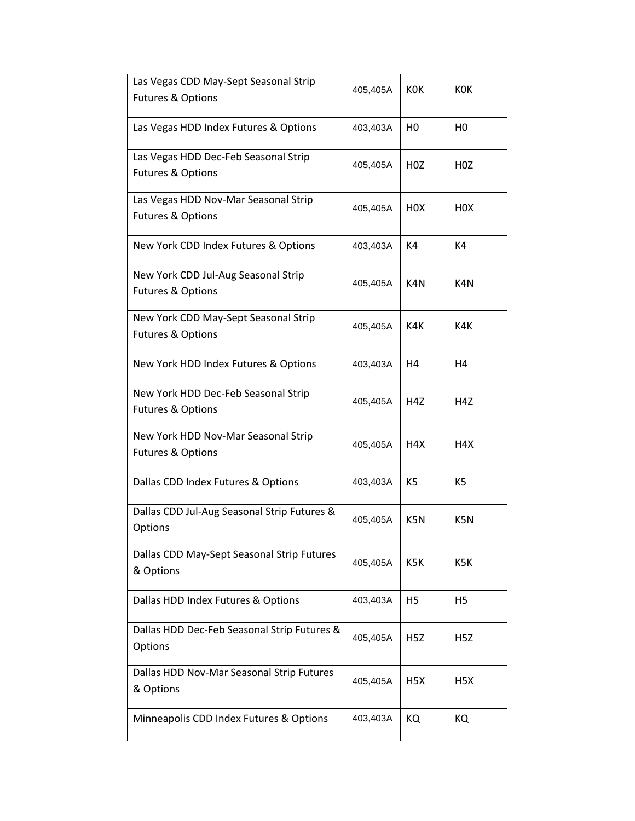| Las Vegas CDD May-Sept Seasonal Strip<br><b>Futures &amp; Options</b> | 405,405A | <b>KOK</b>       | <b>KOK</b>       |
|-----------------------------------------------------------------------|----------|------------------|------------------|
| Las Vegas HDD Index Futures & Options                                 | 403,403A | H <sub>0</sub>   | H <sub>0</sub>   |
| Las Vegas HDD Dec-Feb Seasonal Strip<br><b>Futures &amp; Options</b>  | 405,405A | H <sub>0</sub> Z | H <sub>0</sub> Z |
| Las Vegas HDD Nov-Mar Seasonal Strip<br><b>Futures &amp; Options</b>  | 405,405A | H <sub>0</sub> X | H <sub>0</sub> X |
| New York CDD Index Futures & Options                                  | 403,403A | K4               | K4               |
| New York CDD Jul-Aug Seasonal Strip<br><b>Futures &amp; Options</b>   | 405,405A | K4N              | K4N              |
| New York CDD May-Sept Seasonal Strip<br><b>Futures &amp; Options</b>  | 405,405A | K4K              | K4K              |
| New York HDD Index Futures & Options                                  | 403,403A | H4               | H4               |
| New York HDD Dec-Feb Seasonal Strip<br><b>Futures &amp; Options</b>   | 405,405A | H <sub>4</sub> Z | H4Z              |
| New York HDD Nov-Mar Seasonal Strip<br><b>Futures &amp; Options</b>   | 405,405A | H4X              | H4X              |
| Dallas CDD Index Futures & Options                                    | 403,403A | K <sub>5</sub>   | K <sub>5</sub>   |
| Dallas CDD Jul-Aug Seasonal Strip Futures &<br>Options                | 405,405A | K5N              | K5N              |
| Dallas CDD May-Sept Seasonal Strip Futures<br>& Options               | 405,405A | K5K              | K5K              |
| Dallas HDD Index Futures & Options                                    | 403,403A | H <sub>5</sub>   | H <sub>5</sub>   |
| Dallas HDD Dec-Feb Seasonal Strip Futures &<br>Options                | 405,405A | H <sub>5</sub> Z | H5Z              |
| Dallas HDD Nov-Mar Seasonal Strip Futures<br>& Options                | 405,405A | H <sub>5</sub> X | H5X              |
| Minneapolis CDD Index Futures & Options                               | 403,403A | KQ               | KQ               |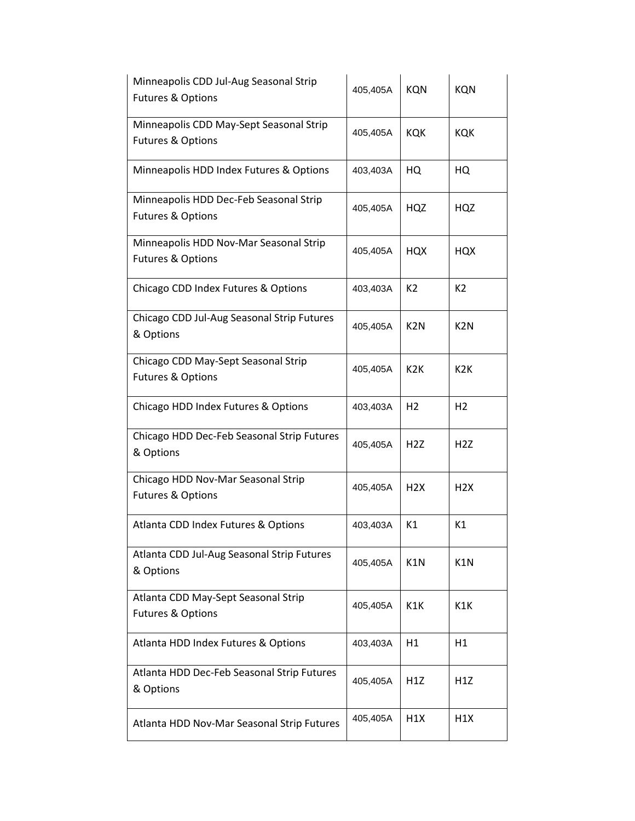| Minneapolis CDD Jul-Aug Seasonal Strip<br><b>Futures &amp; Options</b>  | 405,405A | <b>KQN</b>       | <b>KQN</b>       |
|-------------------------------------------------------------------------|----------|------------------|------------------|
| Minneapolis CDD May-Sept Seasonal Strip<br><b>Futures &amp; Options</b> | 405,405A | <b>KQK</b>       | KQK              |
| Minneapolis HDD Index Futures & Options                                 | 403,403A | HQ               | HQ               |
| Minneapolis HDD Dec-Feb Seasonal Strip<br><b>Futures &amp; Options</b>  | 405,405A | HQZ              | HQZ              |
| Minneapolis HDD Nov-Mar Seasonal Strip<br><b>Futures &amp; Options</b>  | 405,405A | <b>HQX</b>       | <b>HQX</b>       |
| Chicago CDD Index Futures & Options                                     | 403,403A | K <sub>2</sub>   | K <sub>2</sub>   |
| Chicago CDD Jul-Aug Seasonal Strip Futures<br>& Options                 | 405,405A | K <sub>2</sub> N | K <sub>2</sub> N |
| Chicago CDD May-Sept Seasonal Strip<br><b>Futures &amp; Options</b>     | 405,405A | K <sub>2</sub> K | K <sub>2</sub> K |
| Chicago HDD Index Futures & Options                                     | 403,403A | H <sub>2</sub>   | H <sub>2</sub>   |
| Chicago HDD Dec-Feb Seasonal Strip Futures<br>& Options                 | 405,405A | H <sub>2</sub> Z | H <sub>2</sub> Z |
| Chicago HDD Nov-Mar Seasonal Strip<br><b>Futures &amp; Options</b>      | 405,405A | H <sub>2</sub> X | H <sub>2</sub> X |
| Atlanta CDD Index Futures & Options                                     | 403,403A | K1               | K1               |
| Atlanta CDD Jul-Aug Seasonal Strip Futures<br>& Options                 | 405,405A | K1N              | K1N              |
| Atlanta CDD May-Sept Seasonal Strip<br><b>Futures &amp; Options</b>     | 405,405A | K1K              | K1K              |
| Atlanta HDD Index Futures & Options                                     | 403,403A | H1               | H1               |
| Atlanta HDD Dec-Feb Seasonal Strip Futures<br>& Options                 | 405,405A | H1Z              | H1Z              |
| Atlanta HDD Nov-Mar Seasonal Strip Futures                              | 405,405A | H1X              | H1X              |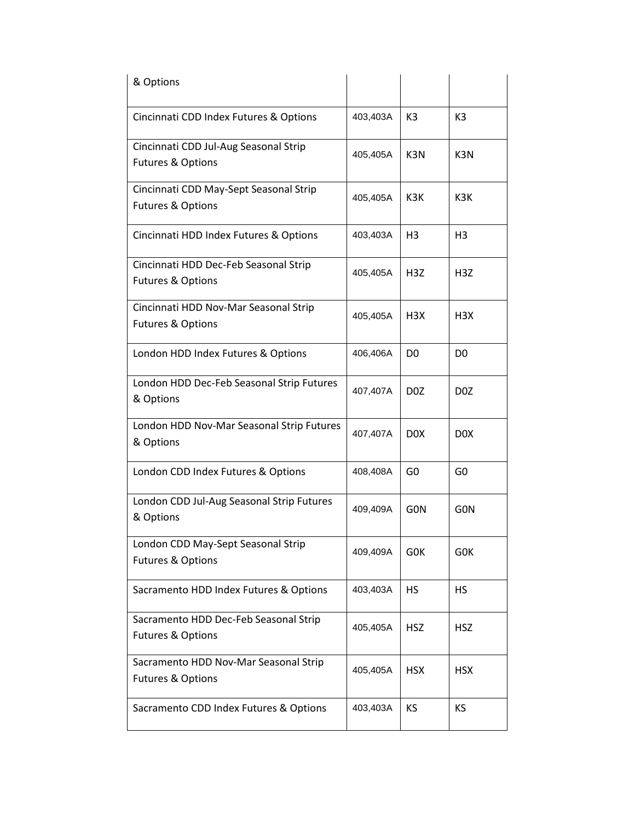| & Options                                 |          |                  |                  |
|-------------------------------------------|----------|------------------|------------------|
| Cincinnati CDD Index Futures & Options    | 403,403A | K <sub>3</sub>   | K3               |
| Cincinnati CDD Jul-Aug Seasonal Strip     | 405,405A | K <sub>3</sub> N | K <sub>3</sub> N |
| <b>Futures &amp; Options</b>              |          |                  |                  |
| Cincinnati CDD May-Sept Seasonal Strip    | 405,405A | K3K              | K3K              |
| <b>Futures &amp; Options</b>              |          |                  |                  |
| Cincinnati HDD Index Futures & Options    | 403,403A | H <sub>3</sub>   | H3               |
| Cincinnati HDD Dec-Feb Seasonal Strip     | 405,405A | H <sub>3</sub> Z | H <sub>3</sub> Z |
| <b>Futures &amp; Options</b>              |          |                  |                  |
| Cincinnati HDD Nov-Mar Seasonal Strip     | 405,405A | H <sub>3</sub> X | H <sub>3X</sub>  |
| <b>Futures &amp; Options</b>              |          |                  |                  |
| London HDD Index Futures & Options        | 406,406A | D <sub>0</sub>   | D0               |
| London HDD Dec-Feb Seasonal Strip Futures | 407,407A | D <sub>0</sub> Z | D <sub>0</sub> Z |
| & Options                                 |          |                  |                  |
| London HDD Nov-Mar Seasonal Strip Futures | 407,407A | D <sub>0</sub> X | D <sub>0</sub> X |
| & Options                                 |          |                  |                  |
| London CDD Index Futures & Options        | 408,408A | G <sub>0</sub>   | G <sub>0</sub>   |
| London CDD Jul-Aug Seasonal Strip Futures | 409,409A | <b>GON</b>       | <b>GON</b>       |
| & Options                                 |          |                  |                  |
| London CDD May-Sept Seasonal Strip        | 409,409A | G0K              | GOK              |
| <b>Futures &amp; Options</b>              |          |                  |                  |
| Sacramento HDD Index Futures & Options    | 403,403A | <b>HS</b>        | HS               |
| Sacramento HDD Dec-Feb Seasonal Strip     | 405,405A | <b>HSZ</b>       | <b>HSZ</b>       |
| <b>Futures &amp; Options</b>              |          |                  |                  |
| Sacramento HDD Nov-Mar Seasonal Strip     | 405,405A | <b>HSX</b>       | <b>HSX</b>       |
| <b>Futures &amp; Options</b>              |          |                  |                  |
| Sacramento CDD Index Futures & Options    | 403,403A | KS               | ΚS               |
|                                           |          |                  |                  |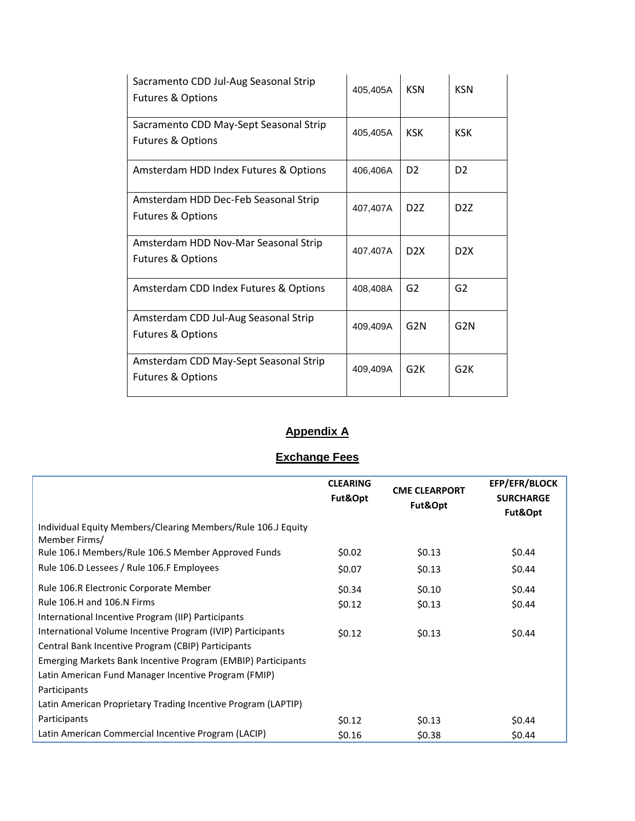| Sacramento CDD Jul-Aug Seasonal Strip<br><b>Futures &amp; Options</b>  | 405,405A | <b>KSN</b>       | <b>KSN</b>       |
|------------------------------------------------------------------------|----------|------------------|------------------|
| Sacramento CDD May-Sept Seasonal Strip<br><b>Futures &amp; Options</b> | 405,405A | <b>KSK</b>       | <b>KSK</b>       |
| Amsterdam HDD Index Futures & Options                                  | 406,406A | D <sub>2</sub>   | D <sub>2</sub>   |
| Amsterdam HDD Dec-Feb Seasonal Strip<br><b>Futures &amp; Options</b>   | 407,407A | D <sub>2</sub> Z | D <sub>2</sub> Z |
| Amsterdam HDD Nov-Mar Seasonal Strip<br><b>Futures &amp; Options</b>   | 407,407A | D <sub>2</sub> X | D <sub>2</sub> X |
| Amsterdam CDD Index Futures & Options                                  | 408,408A | G <sub>2</sub>   | G2               |
| Amsterdam CDD Jul-Aug Seasonal Strip<br><b>Futures &amp; Options</b>   | 409,409A | G <sub>2N</sub>  | G <sub>2N</sub>  |
| Amsterdam CDD May-Sept Seasonal Strip<br><b>Futures &amp; Options</b>  | 409,409A | G2K              | G <sub>2</sub> K |

## **Appendix A**

## **Exchange Fees**

|                                                                               | <b>CLEARING</b><br>Fut&Opt | <b>CME CLEARPORT</b><br>Fut&Opt | <b>EFP/EFR/BLOCK</b><br><b>SURCHARGE</b><br>Fut&Opt |
|-------------------------------------------------------------------------------|----------------------------|---------------------------------|-----------------------------------------------------|
| Individual Equity Members/Clearing Members/Rule 106.J Equity<br>Member Firms/ |                            |                                 |                                                     |
| Rule 106.I Members/Rule 106.S Member Approved Funds                           | \$0.02                     | \$0.13                          | \$0.44                                              |
| Rule 106.D Lessees / Rule 106.F Employees                                     | \$0.07                     | \$0.13                          | \$0.44                                              |
| Rule 106.R Electronic Corporate Member                                        | \$0.34                     | \$0.10                          | \$0.44                                              |
| Rule 106.H and 106.N Firms                                                    | \$0.12                     | \$0.13                          | \$0.44                                              |
| International Incentive Program (IIP) Participants                            |                            |                                 |                                                     |
| International Volume Incentive Program (IVIP) Participants                    | \$0.12                     | \$0.13                          | \$0.44                                              |
| Central Bank Incentive Program (CBIP) Participants                            |                            |                                 |                                                     |
| Emerging Markets Bank Incentive Program (EMBIP) Participants                  |                            |                                 |                                                     |
| Latin American Fund Manager Incentive Program (FMIP)                          |                            |                                 |                                                     |
| Participants                                                                  |                            |                                 |                                                     |
| Latin American Proprietary Trading Incentive Program (LAPTIP)                 |                            |                                 |                                                     |
| Participants                                                                  | \$0.12                     | \$0.13                          | \$0.44                                              |
| Latin American Commercial Incentive Program (LACIP)                           | \$0.16                     | \$0.38                          | \$0.44                                              |